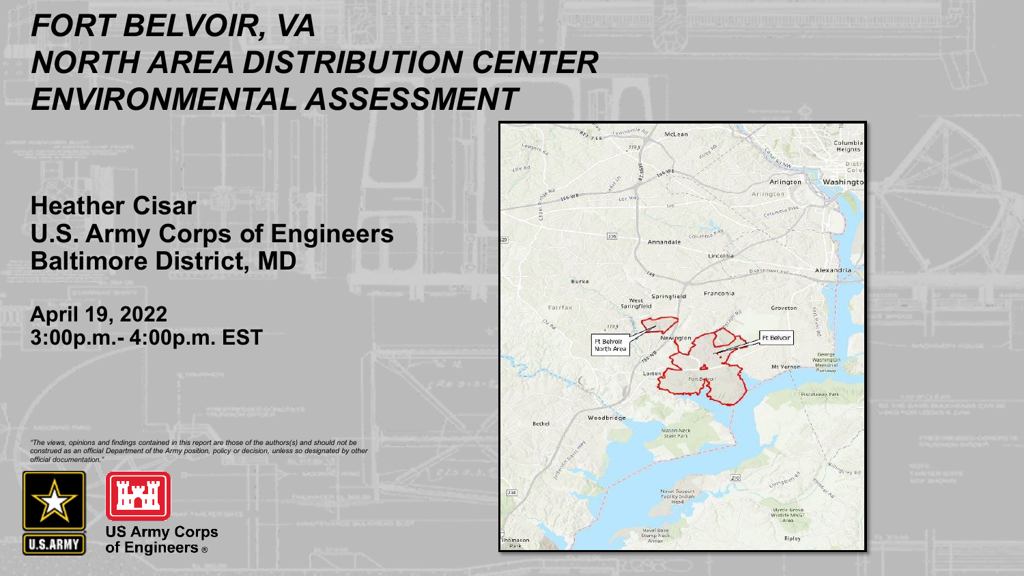## *FORT BELVOIR, VA NORTH AREA DISTRIBUTION CENTER ENVIRONMENTAL ASSESSMENT*

#### **Heather Cisar U.S. Army Corps of Engineers Baltimore District, MD**

**April 19, 2022 3:00p.m.- 4:00p.m. EST**

*"The views, opinions and findings contained in this report are those of the authors(s) and should not be construed as an official Department of the Army position, policy or decision, unless so designated by other official documentation."*



 $R_{T_2}$ McLean Columbi 519 ft Heights Dis Arlington Washingto Arlington  $\boxed{236}$ Columb<sup>y</sup> Annandale Lincolnia Alexandria isenhower Av Burke Franconia Springfield West. Springfiel Fairfax Groveton 310 ft Ft Belvoir Ft Belvoir North Area Washington Memorial Mt Vernor Piscataway Park Woodbridge Bethel Mason Neck Naval Suppor  $[234]$ Facility Indian Myrtle Grovi Wildlife MNG Araal Naval Base Stump Neck Rioley homason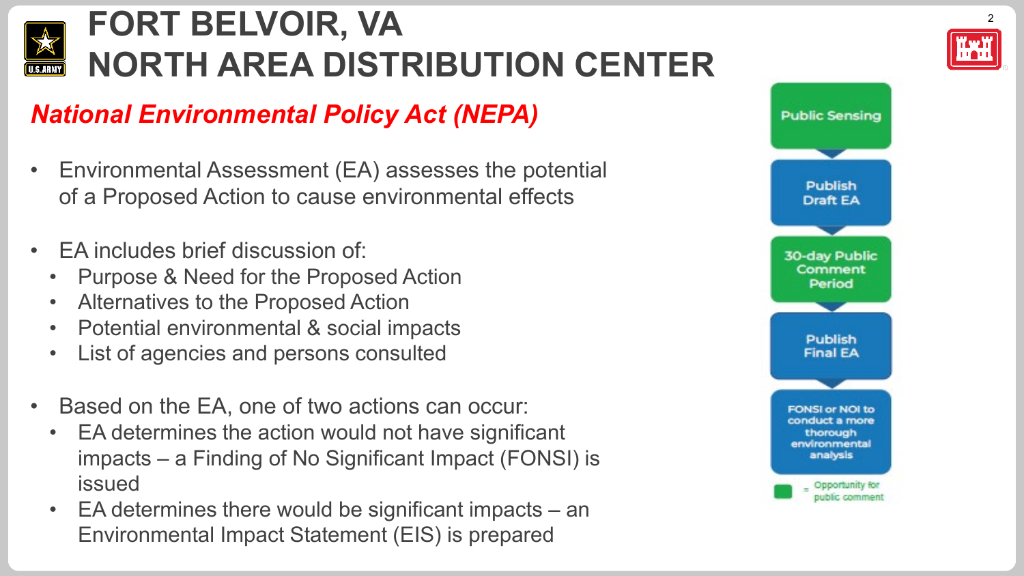

### *National Environmental Policy Act (NEPA)*

- Environmental Assessment (EA) assesses the potential of a Proposed Action to cause environmental effects
- EA includes brief discussion of:
	- Purpose & Need for the Proposed Action
	- Alternatives to the Proposed Action
	- Potential environmental & social impacts
	- List of agencies and persons consulted
- Based on the EA, one of two actions can occur:
	- EA determines the action would not have significant impacts – a Finding of No Significant Impact (FONSI) is issued
	- EA determines there would be significant impacts an Environmental Impact Statement (EIS) is prepared

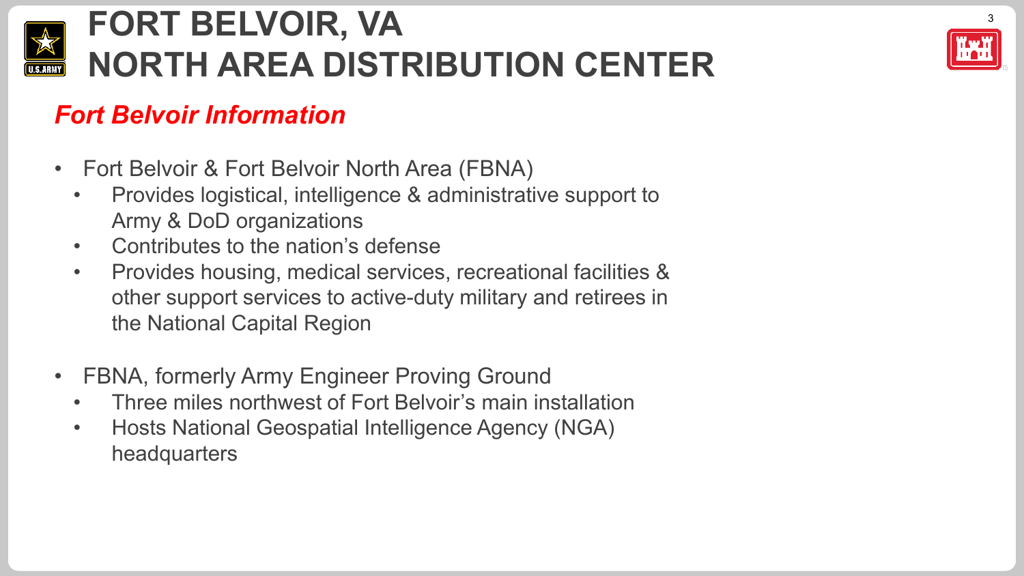

### *Fort Belvoir Information*

- Fort Belvoir & Fort Belvoir North Area (FBNA)
	- Provides logistical, intelligence & administrative support to Army & DoD organizations
	- Contributes to the nation's defense
	- Provides housing, medical services, recreational facilities & other support services to active-duty military and retirees in the National Capital Region
- FBNA, formerly Army Engineer Proving Ground
	- Three miles northwest of Fort Belvoir's main installation
	- Hosts National Geospatial Intelligence Agency (NGA) headquarters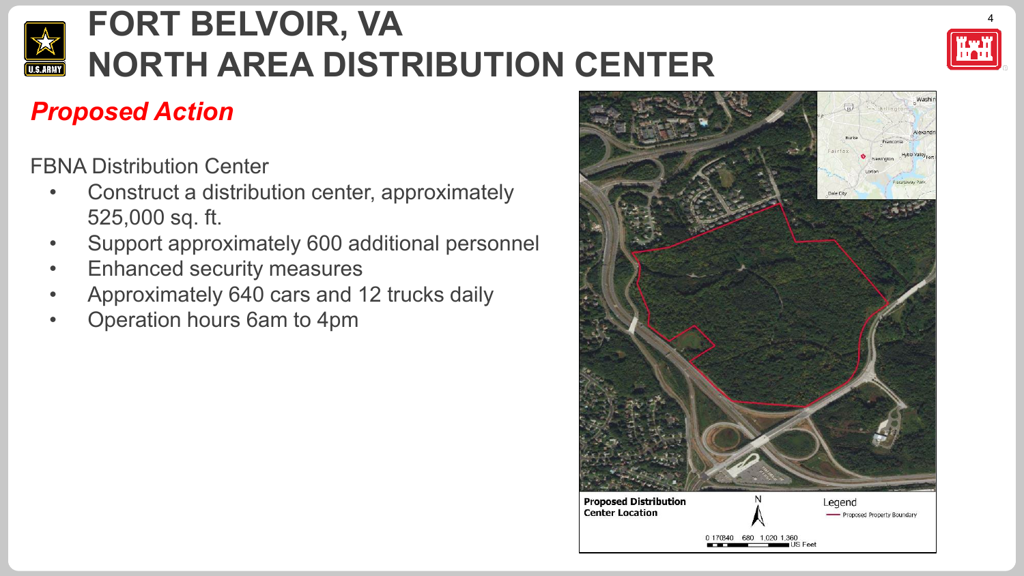



## *Proposed Action*

FBNA Distribution Center

- Construct a distribution center, approximately 525,000 sq. ft.
- Support approximately 600 additional personnel
- Enhanced security measures
- Approximately 640 cars and 12 trucks daily
- Operation hours 6am to 4pm

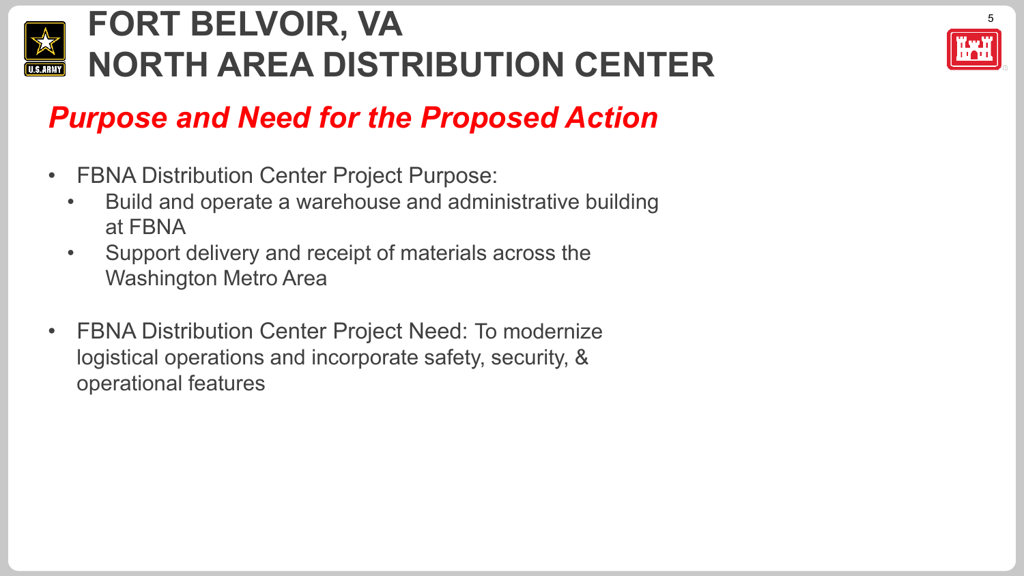



## *Purpose and Need for the Proposed Action*

- FBNA Distribution Center Project Purpose:
	- Build and operate a warehouse and administrative building at FBNA
	- Support delivery and receipt of materials across the Washington Metro Area
- FBNA Distribution Center Project Need: To modernize logistical operations and incorporate safety, security, & operational features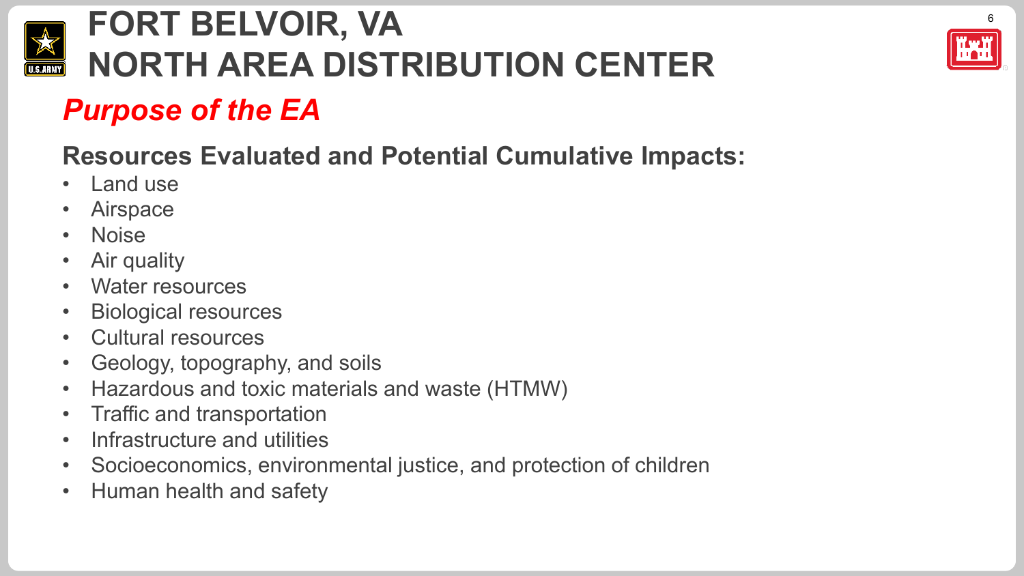

## *Purpose of the EA*

## **Resources Evaluated and Potential Cumulative Impacts:**

- Land use
- **Airspace**
- Noise
- Air quality
- Water resources
- Biological resources
- Cultural resources
- Geology, topography, and soils
- Hazardous and toxic materials and waste (HTMW)
- Traffic and transportation
- Infrastructure and utilities
- Socioeconomics, environmental justice, and protection of children
- Human health and safety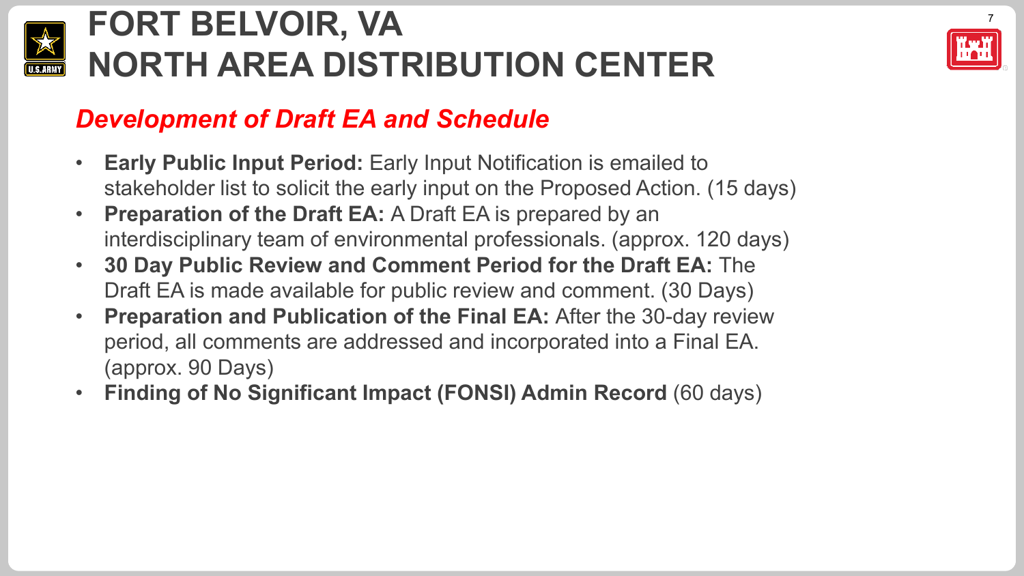



### *Development of Draft EA and Schedule*

- **Early Public Input Period:** Early Input Notification is emailed to stakeholder list to solicit the early input on the Proposed Action. (15 days)
- **Preparation of the Draft EA:** A Draft EA is prepared by an interdisciplinary team of environmental professionals. (approx. 120 days)
- **30 Day Public Review and Comment Period for the Draft EA:** The Draft EA is made available for public review and comment. (30 Days)
- **Preparation and Publication of the Final EA:** After the 30-day review period, all comments are addressed and incorporated into a Final EA. (approx. 90 Days)
- **Finding of No Significant Impact (FONSI) Admin Record** (60 days)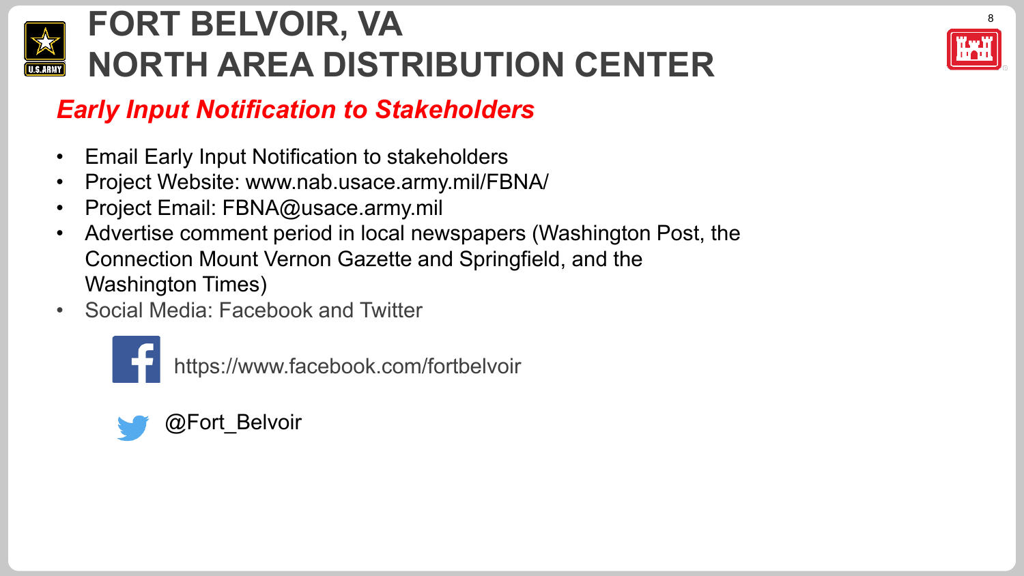



## *Early Input Notification to Stakeholders*

- Email Early Input Notification to stakeholders
- Project Website: www.nab.usace.army.mil/FBNA/
- Project Email: FBNA@usace.army.mil
- Advertise comment period in local newspapers (Washington Post, the Connection Mount Vernon Gazette and Springfield, and the Washington Times)
- Social Media: Facebook and Twitter



https://www.facebook.com/fortbelvoir

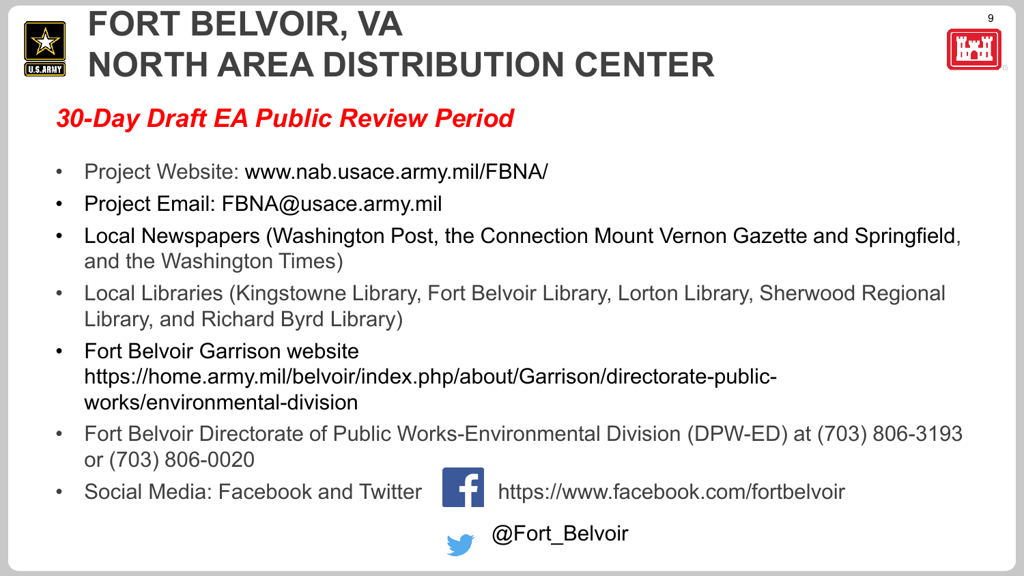



## *30-Day Draft EA Public Review Period*

- Project Website: www.nab.usace.army.mil/FBNA/
- Project Email: FBNA@usace.army.mil
- Local Newspapers (Washington Post, the Connection Mount Vernon Gazette and Springfield, and the Washington Times)
- Local Libraries (Kingstowne Library, Fort Belvoir Library, Lorton Library, Sherwood Regional Library, and Richard Byrd Library)
- Fort Belvoir Garrison website https://home.army.mil/belvoir/index.php/about/Garrison/directorate-publicworks/environmental-division
- Fort Belvoir Directorate of Public Works-Environmental Division (DPW-ED) at (703) 806-3193 or (703) 806-0020
- 



Social Media: Facebook and Twitter **https://www.facebook.com/fortbelvoir**